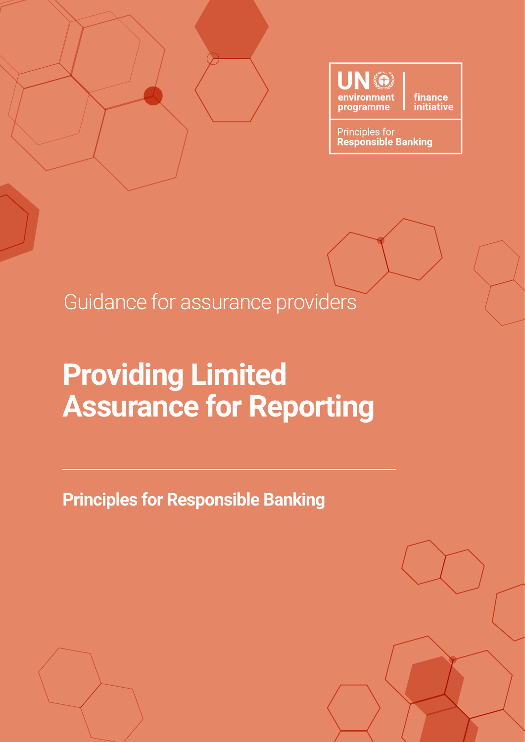

finance<br>initiative

**Principles for Responsible Banking** 

Guidance for assurance providers

### **Providing Limited Assurance for Reporting**

**Principles for Responsible Banking**

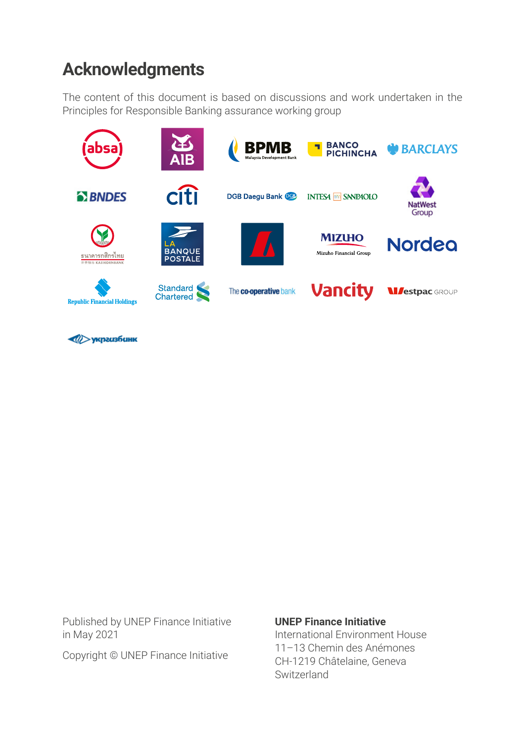### **Acknowledgments**

The content of this document is based on discussions and work undertaken in the Principles for Responsible Banking assurance working group



**VED УКРЕССТВОВАНИЕ** 

Published by UNEP Finance Initiative in May 2021

#### Copyright © UNEP Finance Initiative

#### **UNEP Finance Initiative**

International Environment House 11–13 Chemin des Anémones CH-1219 Châtelaine, Geneva Switzerland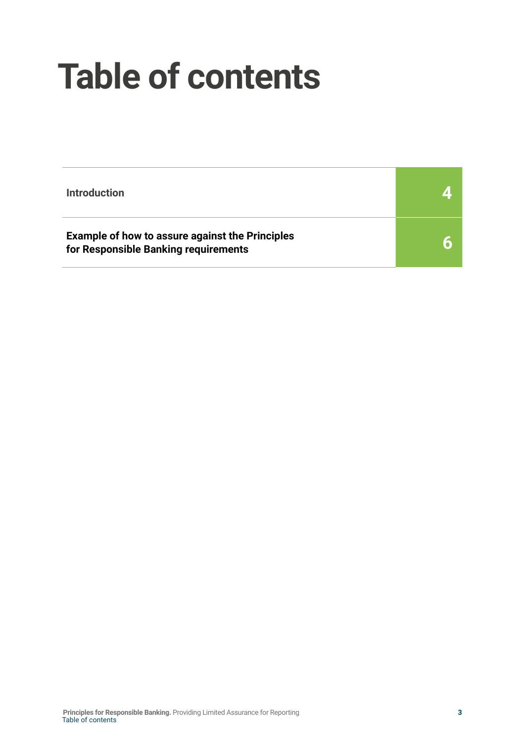# **Table of contents**

| <b>Introduction</b>                                                                            |  |
|------------------------------------------------------------------------------------------------|--|
| <b>Example of how to assure against the Principles</b><br>for Responsible Banking requirements |  |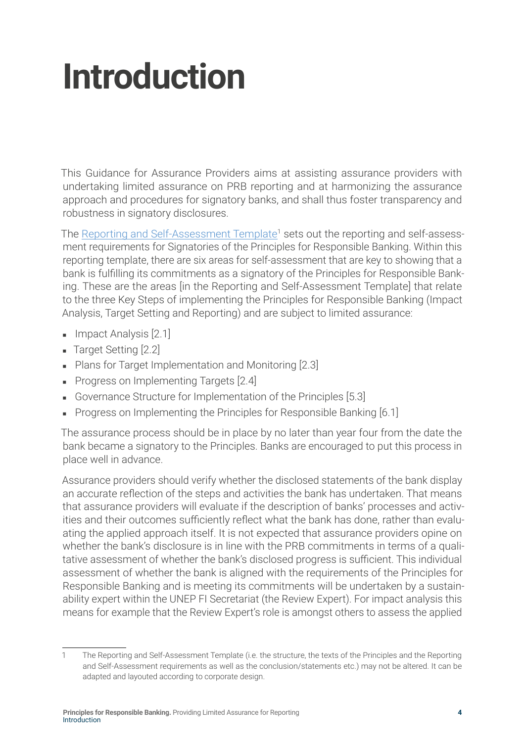# <span id="page-3-0"></span>**Introduction**

This Guidance for Assurance Providers aims at assisting assurance providers with undertaking limited assurance on PRB reporting and at harmonizing the assurance approach and procedures for signatory banks, and shall thus foster transparency and robustness in signatory disclosures.

The Reporting and Self-Assessment Template<sup>1</sup> sets out the reporting and self-assessment requirements for Signatories of the Principles for Responsible Banking. Within this reporting template, there are six areas for self-assessment that are key to showing that a bank is fulfilling its commitments as a signatory of the Principles for Responsible Banking. These are the areas [in the Reporting and Self-Assessment Template] that relate to the three Key Steps of implementing the Principles for Responsible Banking (Impact Analysis, Target Setting and Reporting) and are subject to limited assurance:

- Impact Analysis [2.1]
- Target Setting [2.2]
- Plans for Target Implementation and Monitoring [2.3]
- Progress on Implementing Targets [2.4]
- Governance Structure for Implementation of the Principles [5.3]
- Progress on Implementing the Principles for Responsible Banking [6.1]

The assurance process should be in place by no later than year four from the date the bank became a signatory to the Principles. Banks are encouraged to put this process in place well in advance.

Assurance providers should verify whether the disclosed statements of the bank display an accurate reflection of the steps and activities the bank has undertaken. That means that assurance providers will evaluate if the description of banks' processes and activities and their outcomes sufficiently reflect what the bank has done, rather than evaluating the applied approach itself. It is not expected that assurance providers opine on whether the bank's disclosure is in line with the PRB commitments in terms of a qualitative assessment of whether the bank's disclosed progress is sufficient. This individual assessment of whether the bank is aligned with the requirements of the Principles for Responsible Banking and is meeting its commitments will be undertaken by a sustainability expert within the UNEP FI Secretariat (the Review Expert). For impact analysis this means for example that the Review Expert's role is amongst others to assess the applied

<sup>1</sup> The Reporting and Self-Assessment Template (i.e. the structure, the texts of the Principles and the Reporting and Self-Assessment requirements as well as the conclusion/statements etc.) may not be altered. It can be adapted and layouted according to corporate design.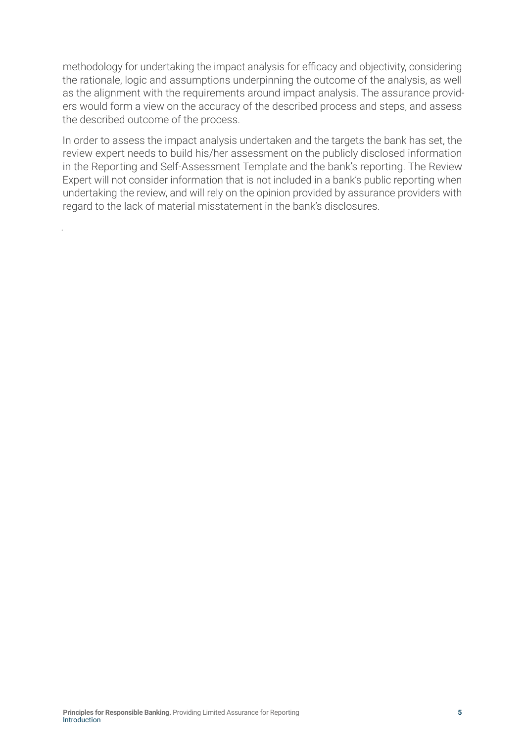methodology for undertaking the impact analysis for efficacy and objectivity, considering the rationale, logic and assumptions underpinning the outcome of the analysis, as well as the alignment with the requirements around impact analysis. The assurance providers would form a view on the accuracy of the described process and steps, and assess the described outcome of the process.

In order to assess the impact analysis undertaken and the targets the bank has set, the review expert needs to build his/her assessment on the publicly disclosed information in the Reporting and Self-Assessment Template and the bank's reporting. The Review Expert will not consider information that is not included in a bank's public reporting when undertaking the review, and will rely on the opinion provided by assurance providers with regard to the lack of material misstatement in the bank's disclosures.

.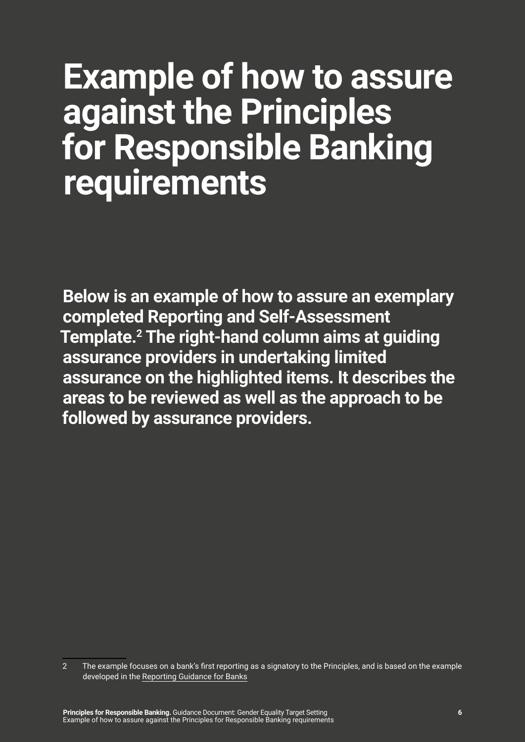## <span id="page-5-0"></span>**Example of how to assure against the Principles for Responsible Banking requirements**

**Below is an example of how to assure an exemplary completed Reporting and Self-Assessment Template.2 The right-hand column aims at guiding assurance providers in undertaking limited assurance on the highlighted items. It describes the areas to be reviewed as well as the approach to be followed by assurance providers.**

<sup>2</sup> The example focuses on a bank's first reporting as a signatory to the Principles, and is based on the example developed in the [Reporting Guidance for Banks](https://www.unepfi.org/wordpress/wp-content/uploads/2021/05/PRB-Reporting-Guidance-Document-8.pdf)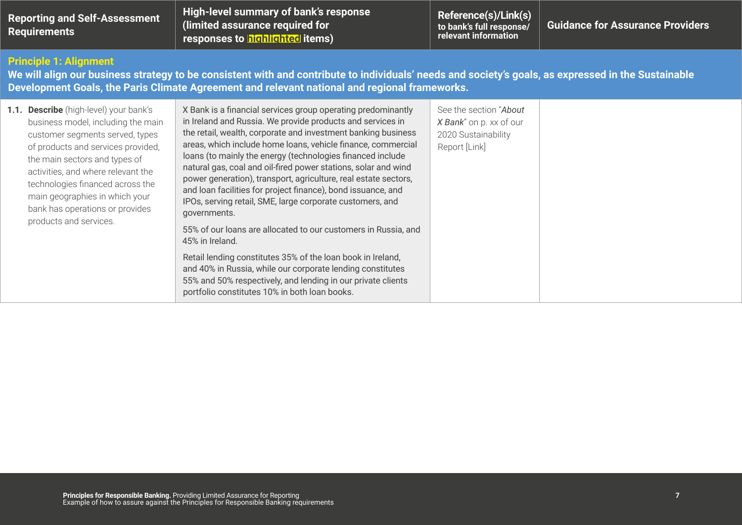| <b>Reporting and Self-Assessment</b><br><b>Requirements</b>                                                                                                                                                                                                                                                                                                     | High-level summary of bank's response<br>(limited assurance required for<br>responses to highlighted items)                                                                                                                                                                                                                                                                                                                                                                                                                                                                                                 | Reference(s)/Link(s)<br>to bank's full response/<br>relevant information                  | <b>Guidance for Assurance Providers</b> |
|-----------------------------------------------------------------------------------------------------------------------------------------------------------------------------------------------------------------------------------------------------------------------------------------------------------------------------------------------------------------|-------------------------------------------------------------------------------------------------------------------------------------------------------------------------------------------------------------------------------------------------------------------------------------------------------------------------------------------------------------------------------------------------------------------------------------------------------------------------------------------------------------------------------------------------------------------------------------------------------------|-------------------------------------------------------------------------------------------|-----------------------------------------|
| <b>Principle 1: Alignment</b>                                                                                                                                                                                                                                                                                                                                   | We will align our business strategy to be consistent with and contribute to individuals' needs and society's goals, as expressed in the Sustainable<br>Development Goals, the Paris Climate Agreement and relevant national and regional frameworks.                                                                                                                                                                                                                                                                                                                                                        |                                                                                           |                                         |
| 1.1. Describe (high-level) your bank's<br>business model, including the main<br>customer segments served, types<br>of products and services provided,<br>the main sectors and types of<br>activities, and where relevant the<br>technologies financed across the<br>main geographies in which your<br>bank has operations or provides<br>products and services. | X Bank is a financial services group operating predominantly<br>in Ireland and Russia. We provide products and services in<br>the retail, wealth, corporate and investment banking business<br>areas, which include home loans, vehicle finance, commercial<br>loans (to mainly the energy (technologies financed include<br>natural gas, coal and oil-fired power stations, solar and wind<br>power generation), transport, agriculture, real estate sectors,<br>and loan facilities for project finance), bond issuance, and<br>IPOs, serving retail, SME, large corporate customers, and<br>governments. | See the section "About<br>X Bank" on p. xx of our<br>2020 Sustainability<br>Report [Link] |                                         |
|                                                                                                                                                                                                                                                                                                                                                                 | 55% of our loans are allocated to our customers in Russia, and<br>45% in Ireland.                                                                                                                                                                                                                                                                                                                                                                                                                                                                                                                           |                                                                                           |                                         |
|                                                                                                                                                                                                                                                                                                                                                                 | Retail lending constitutes 35% of the loan book in Ireland,<br>and 40% in Russia, while our corporate lending constitutes<br>55% and 50% respectively, and lending in our private clients<br>portfolio constitutes 10% in both loan books.                                                                                                                                                                                                                                                                                                                                                                  |                                                                                           |                                         |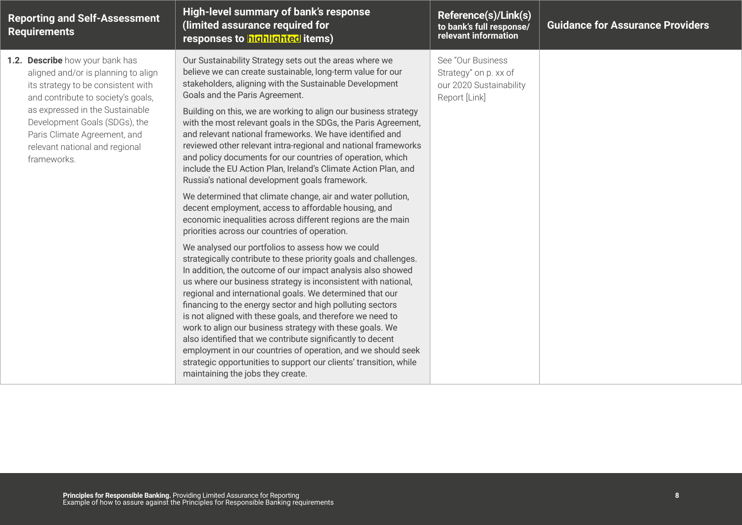| <b>Reporting and Self-Assessment</b><br><b>Requirements</b>                                                                                                                                                                                                                                             | High-level summary of bank's response<br>(limited assurance required for<br>responses to highlighted items)                                                                                                                                                                                                                                                                                                                                                                                                                                                                                                                                                                                                                                                                                                                                                                                                                                                                                                                                                                                                                                                                                                                                                                                                                                                                                                                                                                                                                                                                                                                                                       | Reference(s)/Link(s)<br>to bank's full response/<br>relevant information               | <b>Guidance for Assurance Providers</b> |
|---------------------------------------------------------------------------------------------------------------------------------------------------------------------------------------------------------------------------------------------------------------------------------------------------------|-------------------------------------------------------------------------------------------------------------------------------------------------------------------------------------------------------------------------------------------------------------------------------------------------------------------------------------------------------------------------------------------------------------------------------------------------------------------------------------------------------------------------------------------------------------------------------------------------------------------------------------------------------------------------------------------------------------------------------------------------------------------------------------------------------------------------------------------------------------------------------------------------------------------------------------------------------------------------------------------------------------------------------------------------------------------------------------------------------------------------------------------------------------------------------------------------------------------------------------------------------------------------------------------------------------------------------------------------------------------------------------------------------------------------------------------------------------------------------------------------------------------------------------------------------------------------------------------------------------------------------------------------------------------|----------------------------------------------------------------------------------------|-----------------------------------------|
| 1.2. Describe how your bank has<br>aligned and/or is planning to align<br>its strategy to be consistent with<br>and contribute to society's goals,<br>as expressed in the Sustainable<br>Development Goals (SDGs), the<br>Paris Climate Agreement, and<br>relevant national and regional<br>frameworks. | Our Sustainability Strategy sets out the areas where we<br>believe we can create sustainable, long-term value for our<br>stakeholders, aligning with the Sustainable Development<br>Goals and the Paris Agreement.<br>Building on this, we are working to align our business strategy<br>with the most relevant goals in the SDGs, the Paris Agreement,<br>and relevant national frameworks. We have identified and<br>reviewed other relevant intra-regional and national frameworks<br>and policy documents for our countries of operation, which<br>include the EU Action Plan, Ireland's Climate Action Plan, and<br>Russia's national development goals framework.<br>We determined that climate change, air and water pollution,<br>decent employment, access to affordable housing, and<br>economic inequalities across different regions are the main<br>priorities across our countries of operation.<br>We analysed our portfolios to assess how we could<br>strategically contribute to these priority goals and challenges.<br>In addition, the outcome of our impact analysis also showed<br>us where our business strategy is inconsistent with national,<br>regional and international goals. We determined that our<br>financing to the energy sector and high polluting sectors<br>is not aligned with these goals, and therefore we need to<br>work to align our business strategy with these goals. We<br>also identified that we contribute significantly to decent<br>employment in our countries of operation, and we should seek<br>strategic opportunities to support our clients' transition, while<br>maintaining the jobs they create. | See "Our Business<br>Strategy" on p. xx of<br>our 2020 Sustainability<br>Report [Link] |                                         |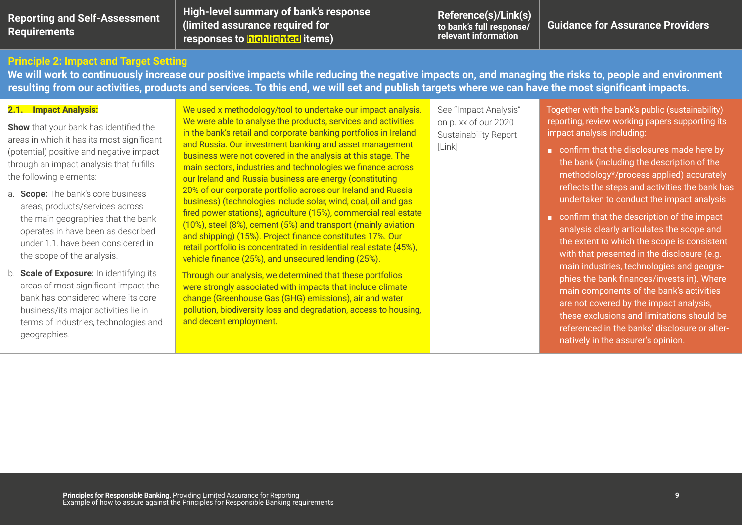| <b>Reporting and Self-Assessment</b> |  |
|--------------------------------------|--|
| <b>Requirements</b>                  |  |

**High-level summary of bank's response (limited assurance required for responses to highlighted items)** 

**Reference(s)/Link(s) to bank's full response/ relevant information**

**Guidance for Assurance Providers**

#### **Principle 2: Impact and Target Setting**

**We will work to continuously increase our positive impacts while reducing the negative impacts on, and managing the risks to, people and environment resulting from our activities, products and services. To this end, we will set and publish targets where we can have the most significant impacts.**

#### **2.1. Impact Analysis:**

**Show** that your bank has identified the areas in which it has its most significant (potential) positive and negative impact through an impact analysis that fulfills the following elements:

- a. **Scope:** The bank's core business areas, products/services across the main geographies that the bank operates in have been as described under 1.1. have been considered in the scope of the analysis.
- b. **Scale of Exposure:** In identifying its areas of most significant impact the bank has considered where its core business/its major activities lie in terms of industries, technologies and geographies.

We used x methodology/tool to undertake our impact analysis. We were able to analyse the products, services and activities in the bank's retail and corporate banking portfolios in Ireland and Russia. Our investment banking and asset management business were not covered in the analysis at this stage. The main sectors, industries and technologies we finance across our Ireland and Russia business are energy (constituting 20% of our corporate portfolio across our Ireland and Russia business) (technologies include solar, wind, coal, oil and gas fired power stations), agriculture (15%), commercial real estate (10%), steel (8%), cement (5%) and transport (mainly aviation and shipping) (15%). Project finance constitutes 17%. Our retail portfolio is concentrated in residential real estate (45%), vehicle finance (25%), and unsecured lending (25%).

Through our analysis, we determined that these portfolios were strongly associated with impacts that include climate change (Greenhouse Gas (GHG) emissions), air and water pollution, biodiversity loss and degradation, access to housing, and decent employment.

See "Impact Analysis" on p. xx of our 2020 Sustainability Report [Link]

Together with the bank's public (sustainability) reporting, review working papers supporting its impact analysis including:

- confirm that the disclosures made here by the bank (including the description of the methodology\*/process applied) accurately reflects the steps and activities the bank has undertaken to conduct the impact analysis
- confirm that the description of the impact analysis clearly articulates the scope and the extent to which the scope is consistent with that presented in the disclosure (e.g. main industries, technologies and geographies the bank finances/invests in). Where main components of the bank's activities are not covered by the impact analysis, these exclusions and limitations should be referenced in the banks' disclosure or alternatively in the assurer's opinion.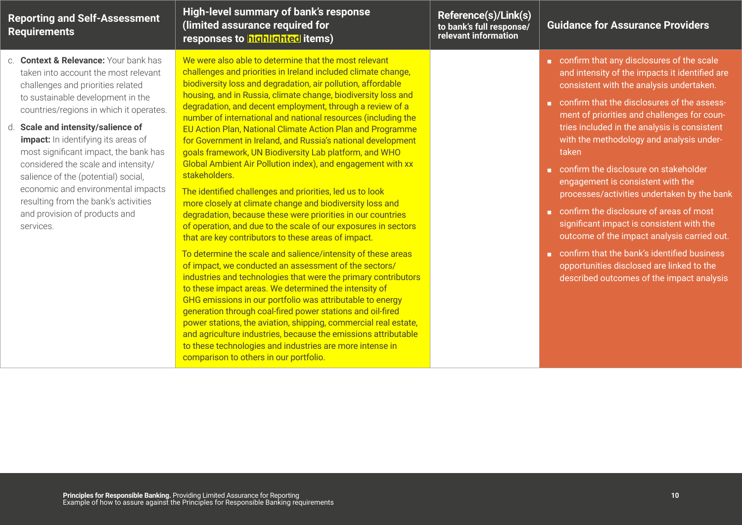| <b>Reporting and Self-Assessment</b><br><b>Requirements</b>                                                                                                                                                                                                                                                                                                                                                                                                                                                                        | High-level summary of bank's response<br>(limited assurance required for<br>responses to highlighted items)                                                                                                                                                                                                                                                                                                                                                                                                                                                                                                                                                                                                                                                                                                                                                                                                                                                                                                                                                                                                                                                                                                                                                                                                                                                                                                                                                                                                                                                                                             | Reference(s)/Link(s)<br>to bank's full response/<br>relevant information | <b>Guidance for Assurance Providers</b>                                                                                                                                                                                                                                                                                                                                                                                                                                                                                                                                                                                                                                                                                                                 |
|------------------------------------------------------------------------------------------------------------------------------------------------------------------------------------------------------------------------------------------------------------------------------------------------------------------------------------------------------------------------------------------------------------------------------------------------------------------------------------------------------------------------------------|---------------------------------------------------------------------------------------------------------------------------------------------------------------------------------------------------------------------------------------------------------------------------------------------------------------------------------------------------------------------------------------------------------------------------------------------------------------------------------------------------------------------------------------------------------------------------------------------------------------------------------------------------------------------------------------------------------------------------------------------------------------------------------------------------------------------------------------------------------------------------------------------------------------------------------------------------------------------------------------------------------------------------------------------------------------------------------------------------------------------------------------------------------------------------------------------------------------------------------------------------------------------------------------------------------------------------------------------------------------------------------------------------------------------------------------------------------------------------------------------------------------------------------------------------------------------------------------------------------|--------------------------------------------------------------------------|---------------------------------------------------------------------------------------------------------------------------------------------------------------------------------------------------------------------------------------------------------------------------------------------------------------------------------------------------------------------------------------------------------------------------------------------------------------------------------------------------------------------------------------------------------------------------------------------------------------------------------------------------------------------------------------------------------------------------------------------------------|
| c. Context & Relevance: Your bank has<br>taken into account the most relevant<br>challenges and priorities related<br>to sustainable development in the<br>countries/regions in which it operates.<br>d. Scale and intensity/salience of<br>impact: In identifying its areas of<br>most significant impact, the bank has<br>considered the scale and intensity/<br>salience of the (potential) social,<br>economic and environmental impacts<br>resulting from the bank's activities<br>and provision of products and<br>services. | We were also able to determine that the most relevant<br>challenges and priorities in Ireland included climate change,<br>biodiversity loss and degradation, air pollution, affordable<br>housing, and in Russia, climate change, biodiversity loss and<br>degradation, and decent employment, through a review of a<br>number of international and national resources (including the<br>EU Action Plan, National Climate Action Plan and Programme<br>for Government in Ireland, and Russia's national development<br>goals framework, UN Biodiversity Lab platform, and WHO<br>Global Ambient Air Pollution index), and engagement with xx<br>stakeholders.<br>The identified challenges and priorities, led us to look<br>more closely at climate change and biodiversity loss and<br>degradation, because these were priorities in our countries<br>of operation, and due to the scale of our exposures in sectors<br>that are key contributors to these areas of impact.<br>To determine the scale and salience/intensity of these areas<br>of impact, we conducted an assessment of the sectors/<br>industries and technologies that were the primary contributors<br>to these impact areas. We determined the intensity of<br>GHG emissions in our portfolio was attributable to energy<br>generation through coal-fired power stations and oil-fired<br>power stations, the aviation, shipping, commercial real estate,<br>and agriculture industries, because the emissions attributable<br>to these technologies and industries are more intense in<br>comparison to others in our portfolio. |                                                                          | confirm that any disclosures of the scale<br>and intensity of the impacts it identified are<br>consistent with the analysis undertaken.<br>confirm that the disclosures of the assess-<br>ment of priorities and challenges for coun-<br>tries included in the analysis is consistent<br>with the methodology and analysis under-<br>taken<br>confirm the disclosure on stakeholder<br>engagement is consistent with the<br>processes/activities undertaken by the bank<br>confirm the disclosure of areas of most<br>significant impact is consistent with the<br>outcome of the impact analysis carried out.<br>confirm that the bank's identified business<br>opportunities disclosed are linked to the<br>described outcomes of the impact analysis |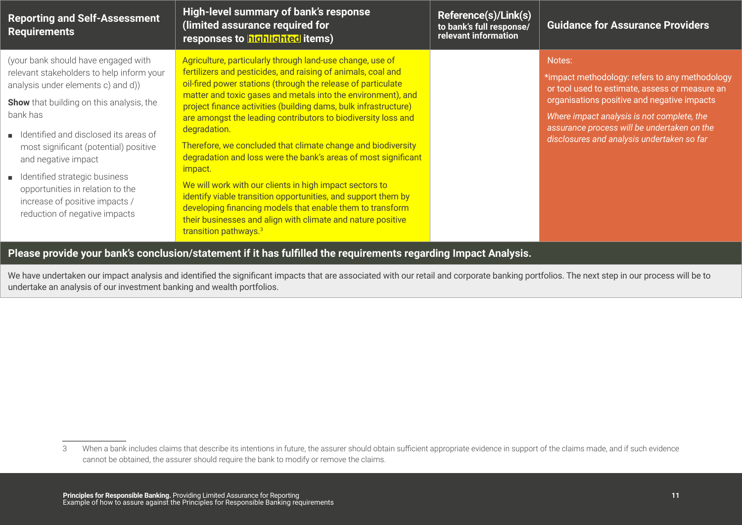| <b>Reporting and Self-Assessment</b><br><b>Requirements</b>                                                                                                                                                                                                                                                                                                                                                                                | High-level summary of bank's response<br>(limited assurance required for<br>responses to highlighted items)                                                                                                                                                                                                                                                                                                                                                                                                                                                                                                                                                                                                                                                                                                                                             | Reference(s)/Link(s)<br>to bank's full response/<br>relevant information | <b>Guidance for Assurance Providers</b>                                                                                                                                                                                                                                                              |
|--------------------------------------------------------------------------------------------------------------------------------------------------------------------------------------------------------------------------------------------------------------------------------------------------------------------------------------------------------------------------------------------------------------------------------------------|---------------------------------------------------------------------------------------------------------------------------------------------------------------------------------------------------------------------------------------------------------------------------------------------------------------------------------------------------------------------------------------------------------------------------------------------------------------------------------------------------------------------------------------------------------------------------------------------------------------------------------------------------------------------------------------------------------------------------------------------------------------------------------------------------------------------------------------------------------|--------------------------------------------------------------------------|------------------------------------------------------------------------------------------------------------------------------------------------------------------------------------------------------------------------------------------------------------------------------------------------------|
| (your bank should have engaged with<br>relevant stakeholders to help inform your<br>analysis under elements c) and d))<br><b>Show</b> that building on this analysis, the<br>bank has<br>■ Identified and disclosed its areas of<br>most significant (potential) positive<br>and negative impact<br>■ Identified strategic business<br>opportunities in relation to the<br>increase of positive impacts /<br>reduction of negative impacts | Agriculture, particularly through land-use change, use of<br>fertilizers and pesticides, and raising of animals, coal and<br>oil-fired power stations (through the release of particulate<br>matter and toxic gases and metals into the environment), and<br>project finance activities (building dams, bulk infrastructure)<br>are amongst the leading contributors to biodiversity loss and<br>degradation.<br>Therefore, we concluded that climate change and biodiversity<br>degradation and loss were the bank's areas of most significant<br>impact.<br>We will work with our clients in high impact sectors to<br>identify viable transition opportunities, and support them by<br>developing financing models that enable them to transform<br>their businesses and align with climate and nature positive<br>transition pathways. <sup>3</sup> |                                                                          | Notes:<br>*impact methodology: refers to any methodology<br>or tool used to estimate, assess or measure an<br>organisations positive and negative impacts<br>Where impact analysis is not complete, the<br>assurance process will be undertaken on the<br>disclosures and analysis undertaken so far |

#### **Please provide your bank's conclusion/statement if it has fulfilled the requirements regarding Impact Analysis.**

We have undertaken our impact analysis and identified the significant impacts that are associated with our retail and corporate banking portfolios. The next step in our process will be to undertake an analysis of our investment banking and wealth portfolios.

<sup>3</sup> When a bank includes claims that describe its intentions in future, the assurer should obtain sufficient appropriate evidence in support of the claims made, and if such evidence cannot be obtained, the assurer should require the bank to modify or remove the claims.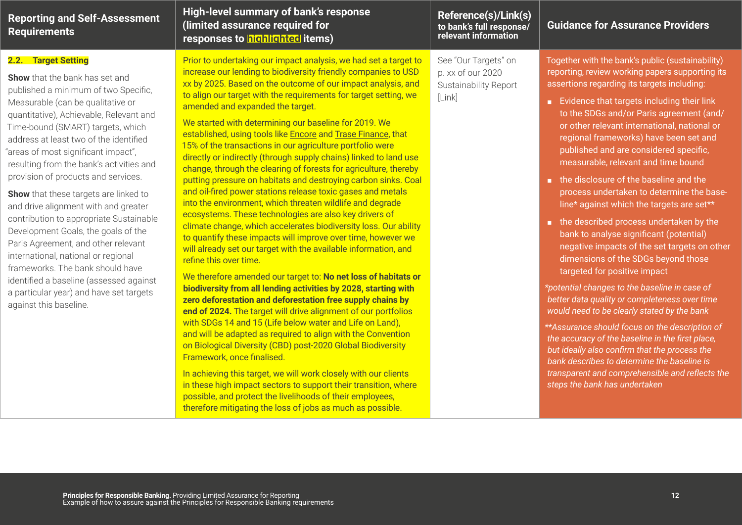| <b>Reporting and Self-Assessment</b><br><b>Requirements</b>                                                                                                                                                                                                                                                                                                                                                                                                                                                                                                                                                                                                                                                                                                                                        | High-level summary of bank's response<br>(limited assurance required for<br>responses to highlighted items)                                                                                                                                                                                                                                                                                                                                                                                                                                                                                                                                                                                                                                                                                                                                                                                                                                                                                                                                                                                                                                                                                                                                                                                                                                                                                                                                                                                                                                                                                                                                                                                                                                                                                                                                                                                       | Reference(s)/Link(s)<br>to bank's full response/<br>relevant information     | <b>Guidance for Assurance Providers</b>                                                                                                                                                                                                                                                                                                                                                                                                                                                                                                                                                                                                                                                                                                                                                                                                                                                                                                                                                                                                                                                                                                                                                                              |
|----------------------------------------------------------------------------------------------------------------------------------------------------------------------------------------------------------------------------------------------------------------------------------------------------------------------------------------------------------------------------------------------------------------------------------------------------------------------------------------------------------------------------------------------------------------------------------------------------------------------------------------------------------------------------------------------------------------------------------------------------------------------------------------------------|---------------------------------------------------------------------------------------------------------------------------------------------------------------------------------------------------------------------------------------------------------------------------------------------------------------------------------------------------------------------------------------------------------------------------------------------------------------------------------------------------------------------------------------------------------------------------------------------------------------------------------------------------------------------------------------------------------------------------------------------------------------------------------------------------------------------------------------------------------------------------------------------------------------------------------------------------------------------------------------------------------------------------------------------------------------------------------------------------------------------------------------------------------------------------------------------------------------------------------------------------------------------------------------------------------------------------------------------------------------------------------------------------------------------------------------------------------------------------------------------------------------------------------------------------------------------------------------------------------------------------------------------------------------------------------------------------------------------------------------------------------------------------------------------------------------------------------------------------------------------------------------------------|------------------------------------------------------------------------------|----------------------------------------------------------------------------------------------------------------------------------------------------------------------------------------------------------------------------------------------------------------------------------------------------------------------------------------------------------------------------------------------------------------------------------------------------------------------------------------------------------------------------------------------------------------------------------------------------------------------------------------------------------------------------------------------------------------------------------------------------------------------------------------------------------------------------------------------------------------------------------------------------------------------------------------------------------------------------------------------------------------------------------------------------------------------------------------------------------------------------------------------------------------------------------------------------------------------|
| 2.2. Target Setting<br><b>Show</b> that the bank has set and<br>published a minimum of two Specific,<br>Measurable (can be qualitative or<br>quantitative), Achievable, Relevant and<br>Time-bound (SMART) targets, which<br>address at least two of the identified<br>"areas of most significant impact",<br>resulting from the bank's activities and<br>provision of products and services.<br>Show that these targets are linked to<br>and drive alignment with and greater<br>contribution to appropriate Sustainable<br>Development Goals, the goals of the<br>Paris Agreement, and other relevant<br>international, national or regional<br>frameworks. The bank should have<br>identified a baseline (assessed against<br>a particular year) and have set targets<br>against this baseline. | Prior to undertaking our impact analysis, we had set a target to<br>increase our lending to biodiversity friendly companies to USD<br>xx by 2025. Based on the outcome of our impact analysis, and<br>to align our target with the requirements for target setting, we<br>amended and expanded the target.<br>We started with determining our baseline for 2019. We<br>established, using tools like Encore and Trase Finance, that<br>15% of the transactions in our agriculture portfolio were<br>directly or indirectly (through supply chains) linked to land use<br>change, through the clearing of forests for agriculture, thereby<br>putting pressure on habitats and destroying carbon sinks. Coal<br>and oil-fired power stations release toxic gases and metals<br>into the environment, which threaten wildlife and degrade<br>ecosystems. These technologies are also key drivers of<br>climate change, which accelerates biodiversity loss. Our ability<br>to quantify these impacts will improve over time, however we<br>will already set our target with the available information, and<br>refine this over time.<br>We therefore amended our target to: No net loss of habitats or<br>biodiversity from all lending activities by 2028, starting with<br>zero deforestation and deforestation free supply chains by<br>end of 2024. The target will drive alignment of our portfolios<br>with SDGs 14 and 15 (Life below water and Life on Land),<br>and will be adapted as required to align with the Convention<br>on Biological Diversity (CBD) post-2020 Global Biodiversity<br>Framework, once finalised.<br>In achieving this target, we will work closely with our clients<br>in these high impact sectors to support their transition, where<br>possible, and protect the livelihoods of their employees,<br>therefore mitigating the loss of jobs as much as possible. | See "Our Targets" on<br>p. xx of our 2020<br>Sustainability Report<br>[Link] | Together with the bank's public (sustainability)<br>reporting, review working papers supporting its<br>assertions regarding its targets including:<br>Evidence that targets including their link<br>to the SDGs and/or Paris agreement (and/<br>or other relevant international, national or<br>regional frameworks) have been set and<br>published and are considered specific,<br>measurable, relevant and time bound<br>the disclosure of the baseline and the<br>process undertaken to determine the base-<br>line* against which the targets are set**<br>the described process undertaken by the<br>bank to analyse significant (potential)<br>negative impacts of the set targets on other<br>dimensions of the SDGs beyond those<br>targeted for positive impact<br>*potential changes to the baseline in case of<br>better data quality or completeness over time<br>would need to be clearly stated by the bank<br>** Assurance should focus on the description of<br>the accuracy of the baseline in the first place,<br>but ideally also confirm that the process the<br>bank describes to determine the baseline is<br>transparent and comprehensible and reflects the<br>steps the bank has undertaken |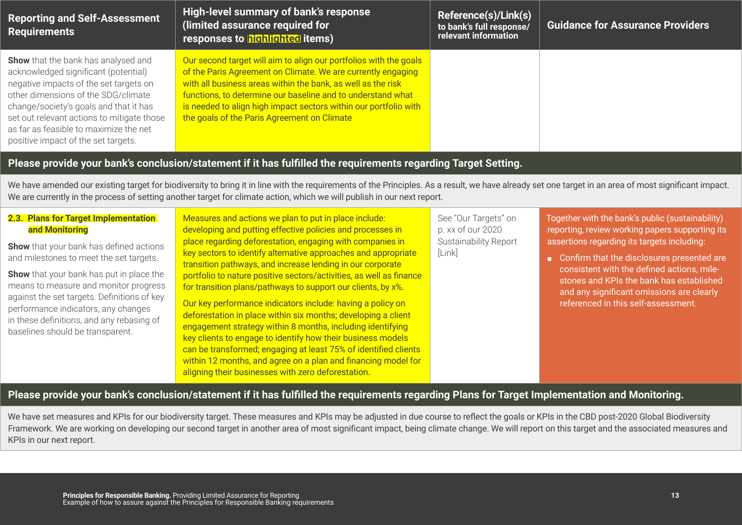| <b>Reporting and Self-Assessment</b><br><b>Requirements</b>                                                                                                                                                                                                                                                                                  | High-level summary of bank's response<br>(limited assurance required for<br>responses to highlighted items)                                                                                                                                                                                                                                                                         | Reference(s)/Link(s)<br>to bank's full response/<br>relevant information | <b>Guidance for Assurance Providers</b> |  |
|----------------------------------------------------------------------------------------------------------------------------------------------------------------------------------------------------------------------------------------------------------------------------------------------------------------------------------------------|-------------------------------------------------------------------------------------------------------------------------------------------------------------------------------------------------------------------------------------------------------------------------------------------------------------------------------------------------------------------------------------|--------------------------------------------------------------------------|-----------------------------------------|--|
| <b>Show</b> that the bank has analysed and<br>acknowledged significant (potential)<br>negative impacts of the set targets on<br>other dimensions of the SDG/climate<br>change/society's goals and that it has<br>set out relevant actions to mitigate those<br>as far as feasible to maximize the net<br>positive impact of the set targets. | Our second target will aim to align our portfolios with the goals<br>of the Paris Agreement on Climate. We are currently engaging<br>with all business areas within the bank, as well as the risk<br>functions, to determine our baseline and to understand what<br>is needed to align high impact sectors within our portfolio with<br>the goals of the Paris Agreement on Climate |                                                                          |                                         |  |
| Please provide your bank's conclusion/statement if it has fulfilled the requirements regarding Target Setting.                                                                                                                                                                                                                               |                                                                                                                                                                                                                                                                                                                                                                                     |                                                                          |                                         |  |

We have amended our existing target for biodiversity to bring it in line with the requirements of the Principles. As a result, we have already set one target in an area of most significant impact. We are currently in the process of setting another target for climate action, which we will publish in our next report.

| 2.3. Plans for Target Implementation<br>and Monitoring                                                                                                                                                                                                                                                                                                       | Measures and actions we plan to put in place include:<br>developing and putting effective policies and processes in<br>place regarding deforestation, engaging with companies in                                                                                                                                                                                                                                                                                                                                                                                                                                                                                                                                          | See "Our Targets" on<br>p. xx of our 2020<br><b>Sustainability Report</b> | Together with the bank's public (sustainability)<br>reporting, review working papers supporting its<br>assertions regarding its targets including:                                                                       |
|--------------------------------------------------------------------------------------------------------------------------------------------------------------------------------------------------------------------------------------------------------------------------------------------------------------------------------------------------------------|---------------------------------------------------------------------------------------------------------------------------------------------------------------------------------------------------------------------------------------------------------------------------------------------------------------------------------------------------------------------------------------------------------------------------------------------------------------------------------------------------------------------------------------------------------------------------------------------------------------------------------------------------------------------------------------------------------------------------|---------------------------------------------------------------------------|--------------------------------------------------------------------------------------------------------------------------------------------------------------------------------------------------------------------------|
| <b>Show</b> that your bank has defined actions<br>and milestones to meet the set targets.<br><b>Show</b> that your bank has put in place the<br>means to measure and monitor progress<br>against the set targets. Definitions of key<br>performance indicators, any changes<br>in these definitions, and any rebasing of<br>baselines should be transparent. | key sectors to identify alternative approaches and appropriate<br>transition pathways, and increase lending in our corporate<br>portfolio to nature positive sectors/activities, as well as finance<br>for transition plans/pathways to support our clients, by x%.<br>Our key performance indicators include: having a policy on<br>deforestation in place within six months; developing a client<br>engagement strategy within 8 months, including identifying<br>key clients to engage to identify how their business models<br>can be transformed; engaging at least 75% of identified clients<br>within 12 months, and agree on a plan and financing model for<br>aligning their businesses with zero deforestation. | [Link]                                                                    | Confirm that the disclosures presented are<br>consistent with the defined actions, mile-<br>stones and KPIs the bank has established<br>and any significant omissions are clearly<br>referenced in this self-assessment. |
|                                                                                                                                                                                                                                                                                                                                                              |                                                                                                                                                                                                                                                                                                                                                                                                                                                                                                                                                                                                                                                                                                                           |                                                                           |                                                                                                                                                                                                                          |

#### **Please provide your bank's conclusion/statement if it has fulfilled the requirements regarding Plans for Target Implementation and Monitoring.**

We have set measures and KPIs for our biodiversity target. These measures and KPIs may be adjusted in due course to reflect the goals or KPIs in the CBD post-2020 Global Biodiversity Framework. We are working on developing our second target in another area of most significant impact, being climate change. We will report on this target and the associated measures and KPIs in our next report.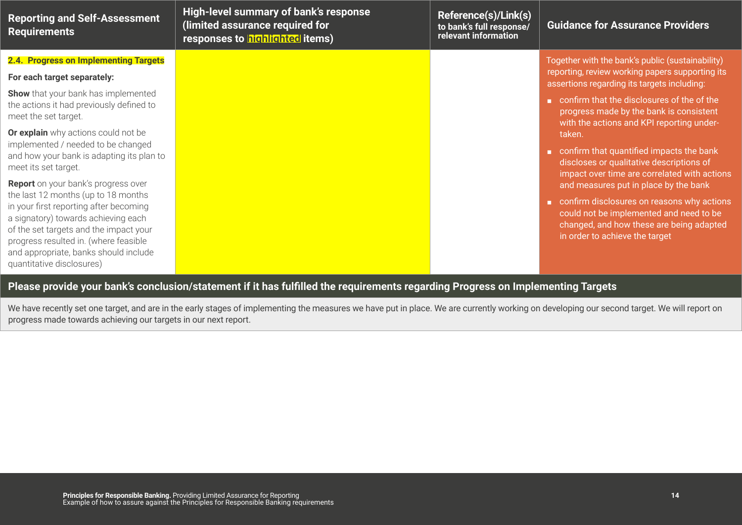| <b>Reporting and Self-Assessment</b><br><b>Requirements</b>                                                                                                                                                                                                                   | High-level summary of bank's response<br>(limited assurance required for<br>responses to highlighted items) | Reference(s)/Link(s)<br>to bank's full response/<br>relevant information | <b>Guidance for Assurance Providers</b>                                                                                                                                                                                                     |
|-------------------------------------------------------------------------------------------------------------------------------------------------------------------------------------------------------------------------------------------------------------------------------|-------------------------------------------------------------------------------------------------------------|--------------------------------------------------------------------------|---------------------------------------------------------------------------------------------------------------------------------------------------------------------------------------------------------------------------------------------|
| 2.4. Progress on Implementing Targets<br>For each target separately:<br><b>Show</b> that your bank has implemented<br>the actions it had previously defined to<br>meet the set target.                                                                                        |                                                                                                             |                                                                          | Together with the bank's public (sustainability)<br>reporting, review working papers supporting its<br>assertions regarding its targets including:<br>confirm that the disclosures of the of the<br>progress made by the bank is consistent |
| Or explain why actions could not be<br>implemented / needed to be changed<br>and how your bank is adapting its plan to<br>meet its set target.<br>Report on your bank's progress over                                                                                         |                                                                                                             |                                                                          | with the actions and KPI reporting under-<br>taken.<br>confirm that quantified impacts the bank<br>discloses or qualitative descriptions of<br>impact over time are correlated with actions                                                 |
| the last 12 months (up to 18 months<br>in your first reporting after becoming<br>a signatory) towards achieving each<br>of the set targets and the impact your<br>progress resulted in. (where feasible<br>and appropriate, banks should include<br>quantitative disclosures) |                                                                                                             |                                                                          | and measures put in place by the bank<br>confirm disclosures on reasons why actions<br>could not be implemented and need to be<br>changed, and how these are being adapted<br>in order to achieve the target                                |
| Please provide your bank's conclusion/statement if it has fulfilled the requirements regarding Progress on Implementing Targets                                                                                                                                               |                                                                                                             |                                                                          |                                                                                                                                                                                                                                             |

We have recently set one target, and are in the early stages of implementing the measures we have put in place. We are currently working on developing our second target. We will report on progress made towards achieving our targets in our next report.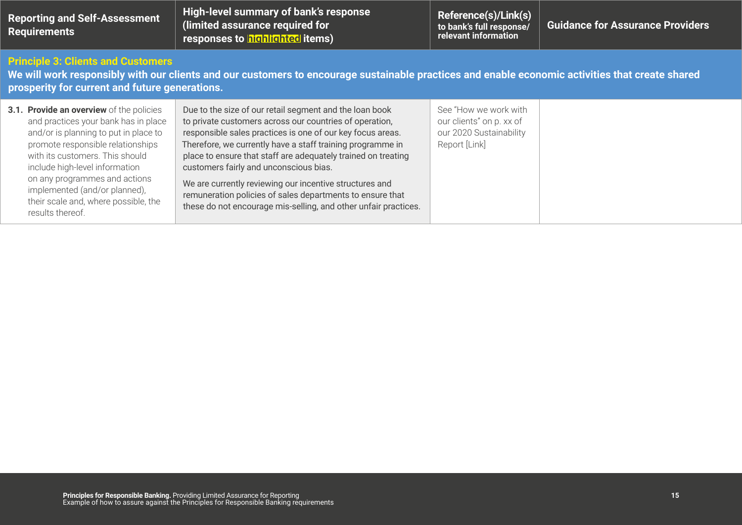| <b>Reporting and Self-Assessment</b><br><b>Requirements</b>                                                                                                                                                                                                                                                                                                       | <b>High-level summary of bank's response</b><br>(limited assurance required for<br>responses to highlighted items)                                                                                                                                                                                                                                                                                                                                                                                                                                   | Reference(s)/Link(s)<br>to bank's full response/<br>relevant information                      | <b>Guidance for Assurance Providers</b> |
|-------------------------------------------------------------------------------------------------------------------------------------------------------------------------------------------------------------------------------------------------------------------------------------------------------------------------------------------------------------------|------------------------------------------------------------------------------------------------------------------------------------------------------------------------------------------------------------------------------------------------------------------------------------------------------------------------------------------------------------------------------------------------------------------------------------------------------------------------------------------------------------------------------------------------------|-----------------------------------------------------------------------------------------------|-----------------------------------------|
| <b>Principle 3: Clients and Customers</b><br>prosperity for current and future generations.                                                                                                                                                                                                                                                                       | We will work responsibly with our clients and our customers to encourage sustainable practices and enable economic activities that create shared                                                                                                                                                                                                                                                                                                                                                                                                     |                                                                                               |                                         |
| 3.1. Provide an overview of the policies<br>and practices your bank has in place<br>and/or is planning to put in place to<br>promote responsible relationships<br>with its customers. This should<br>include high-level information<br>on any programmes and actions<br>implemented (and/or planned),<br>their scale and, where possible, the<br>results thereof. | Due to the size of our retail segment and the loan book<br>to private customers across our countries of operation,<br>responsible sales practices is one of our key focus areas.<br>Therefore, we currently have a staff training programme in<br>place to ensure that staff are adequately trained on treating<br>customers fairly and unconscious bias.<br>We are currently reviewing our incentive structures and<br>remuneration policies of sales departments to ensure that<br>these do not encourage mis-selling, and other unfair practices. | See "How we work with<br>our clients" on p. xx of<br>our 2020 Sustainability<br>Report [Link] |                                         |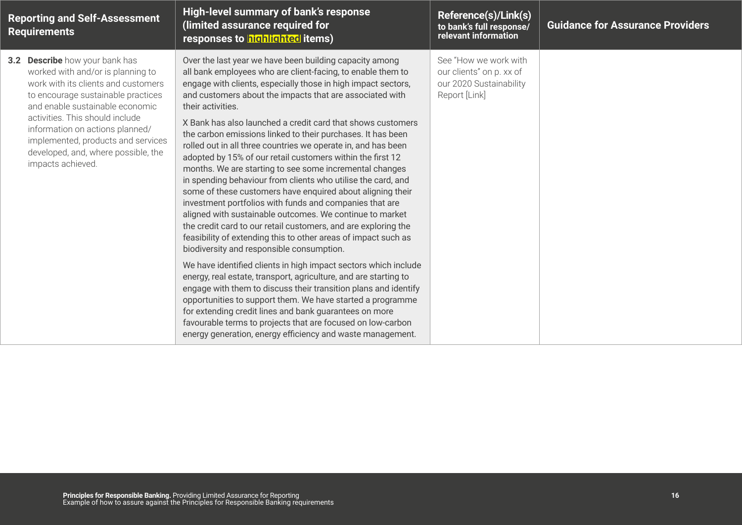| <b>Reporting and Self-Assessment</b><br><b>Requirements</b>                                                                                                                                                                                                                                                                                                 | High-level summary of bank's response<br>(limited assurance required for<br>responses to highlighted items)                                                                                                                                                                                                                                                                                                                                                                                                                                                                                                                                                                                                                                                                                                                                                                                                                                                                                                                                                                                                                                                                                                                                                                                                                                                                                                                                                                                           | Reference(s)/Link(s)<br>to bank's full response/<br>relevant information                      | <b>Guidance for Assurance Providers</b> |
|-------------------------------------------------------------------------------------------------------------------------------------------------------------------------------------------------------------------------------------------------------------------------------------------------------------------------------------------------------------|-------------------------------------------------------------------------------------------------------------------------------------------------------------------------------------------------------------------------------------------------------------------------------------------------------------------------------------------------------------------------------------------------------------------------------------------------------------------------------------------------------------------------------------------------------------------------------------------------------------------------------------------------------------------------------------------------------------------------------------------------------------------------------------------------------------------------------------------------------------------------------------------------------------------------------------------------------------------------------------------------------------------------------------------------------------------------------------------------------------------------------------------------------------------------------------------------------------------------------------------------------------------------------------------------------------------------------------------------------------------------------------------------------------------------------------------------------------------------------------------------------|-----------------------------------------------------------------------------------------------|-----------------------------------------|
| 3.2 Describe how your bank has<br>worked with and/or is planning to<br>work with its clients and customers<br>to encourage sustainable practices<br>and enable sustainable economic<br>activities. This should include<br>information on actions planned/<br>implemented, products and services<br>developed, and, where possible, the<br>impacts achieved. | Over the last year we have been building capacity among<br>all bank employees who are client-facing, to enable them to<br>engage with clients, especially those in high impact sectors,<br>and customers about the impacts that are associated with<br>their activities.<br>X Bank has also launched a credit card that shows customers<br>the carbon emissions linked to their purchases. It has been<br>rolled out in all three countries we operate in, and has been<br>adopted by 15% of our retail customers within the first 12<br>months. We are starting to see some incremental changes<br>in spending behaviour from clients who utilise the card, and<br>some of these customers have enquired about aligning their<br>investment portfolios with funds and companies that are<br>aligned with sustainable outcomes. We continue to market<br>the credit card to our retail customers, and are exploring the<br>feasibility of extending this to other areas of impact such as<br>biodiversity and responsible consumption.<br>We have identified clients in high impact sectors which include<br>energy, real estate, transport, agriculture, and are starting to<br>engage with them to discuss their transition plans and identify<br>opportunities to support them. We have started a programme<br>for extending credit lines and bank guarantees on more<br>favourable terms to projects that are focused on low-carbon<br>energy generation, energy efficiency and waste management. | See "How we work with<br>our clients" on p. xx of<br>our 2020 Sustainability<br>Report [Link] |                                         |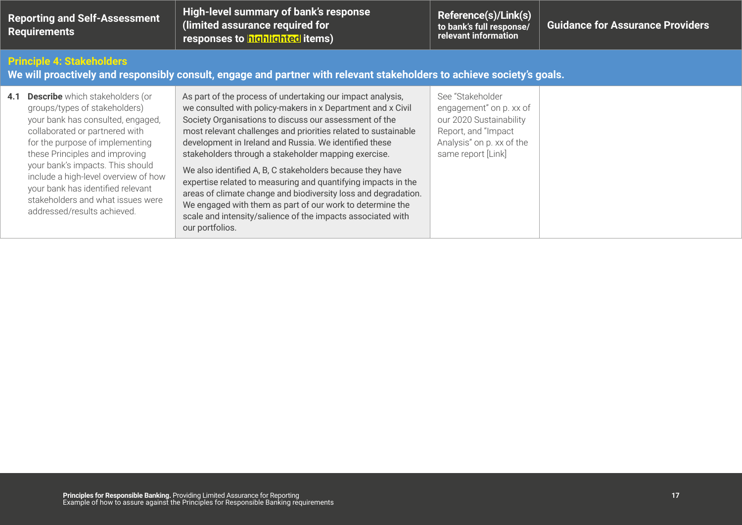| <b>Reporting and Self-Assessment</b><br><b>Requirements</b>                                                                                                |                                                                                                                                                                                                                                                                                                                                                                                                          | High-level summary of bank's response<br>(limited assurance required for<br>responses to highlighted items)                                                                                                                                                                                                                                                                                                                                                                                                                                                                                                                                                                                                            | Reference(s)/Link(s)<br>to bank's full response/<br>relevant information                                                                         | <b>Guidance for Assurance Providers</b> |
|------------------------------------------------------------------------------------------------------------------------------------------------------------|----------------------------------------------------------------------------------------------------------------------------------------------------------------------------------------------------------------------------------------------------------------------------------------------------------------------------------------------------------------------------------------------------------|------------------------------------------------------------------------------------------------------------------------------------------------------------------------------------------------------------------------------------------------------------------------------------------------------------------------------------------------------------------------------------------------------------------------------------------------------------------------------------------------------------------------------------------------------------------------------------------------------------------------------------------------------------------------------------------------------------------------|--------------------------------------------------------------------------------------------------------------------------------------------------|-----------------------------------------|
| <b>Principle 4: Stakeholders</b><br>We will proactively and responsibly consult, engage and partner with relevant stakeholders to achieve society's goals. |                                                                                                                                                                                                                                                                                                                                                                                                          |                                                                                                                                                                                                                                                                                                                                                                                                                                                                                                                                                                                                                                                                                                                        |                                                                                                                                                  |                                         |
| 4.1                                                                                                                                                        | <b>Describe</b> which stakeholders (or<br>groups/types of stakeholders)<br>your bank has consulted, engaged,<br>collaborated or partnered with<br>for the purpose of implementing<br>these Principles and improving<br>your bank's impacts. This should<br>include a high-level overview of how<br>your bank has identified relevant<br>stakeholders and what issues were<br>addressed/results achieved. | As part of the process of undertaking our impact analysis,<br>we consulted with policy-makers in x Department and x Civil<br>Society Organisations to discuss our assessment of the<br>most relevant challenges and priorities related to sustainable<br>development in Ireland and Russia. We identified these<br>stakeholders through a stakeholder mapping exercise.<br>We also identified A, B, C stakeholders because they have<br>expertise related to measuring and quantifying impacts in the<br>areas of climate change and biodiversity loss and degradation.<br>We engaged with them as part of our work to determine the<br>scale and intensity/salience of the impacts associated with<br>our portfolios. | See "Stakeholder<br>engagement" on p. xx of<br>our 2020 Sustainability<br>Report, and "Impact<br>Analysis" on p. xx of the<br>same report [Link] |                                         |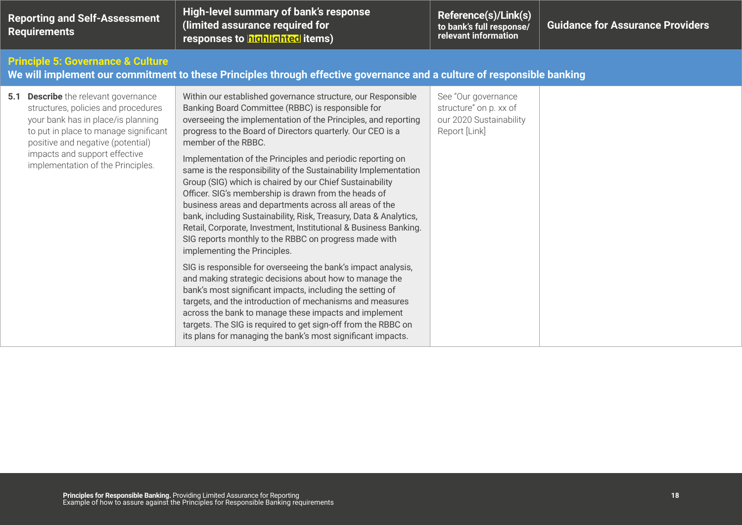| <b>Reporting and Self-Assessment</b><br><b>Requirements</b>                                                                                                                                                                                                                  | High-level summary of bank's response<br>(limited assurance required for<br>responses to highlighted items)                                                                                                                                                                                                                                                                                                                                                                                                                                                                                                                                                                                                                                                                                                                                                                                                                                                                                                                                                                                                                                                                                                                                                            | Reference(s)/Link(s)<br>to bank's full response/<br>relevant information                  | <b>Guidance for Assurance Providers</b> |  |
|------------------------------------------------------------------------------------------------------------------------------------------------------------------------------------------------------------------------------------------------------------------------------|------------------------------------------------------------------------------------------------------------------------------------------------------------------------------------------------------------------------------------------------------------------------------------------------------------------------------------------------------------------------------------------------------------------------------------------------------------------------------------------------------------------------------------------------------------------------------------------------------------------------------------------------------------------------------------------------------------------------------------------------------------------------------------------------------------------------------------------------------------------------------------------------------------------------------------------------------------------------------------------------------------------------------------------------------------------------------------------------------------------------------------------------------------------------------------------------------------------------------------------------------------------------|-------------------------------------------------------------------------------------------|-----------------------------------------|--|
| <b>Principle 5: Governance &amp; Culture</b><br>We will implement our commitment to these Principles through effective governance and a culture of responsible banking                                                                                                       |                                                                                                                                                                                                                                                                                                                                                                                                                                                                                                                                                                                                                                                                                                                                                                                                                                                                                                                                                                                                                                                                                                                                                                                                                                                                        |                                                                                           |                                         |  |
| <b>5.1 Describe</b> the relevant governance<br>structures, policies and procedures<br>your bank has in place/is planning<br>to put in place to manage significant<br>positive and negative (potential)<br>impacts and support effective<br>implementation of the Principles. | Within our established governance structure, our Responsible<br>Banking Board Committee (RBBC) is responsible for<br>overseeing the implementation of the Principles, and reporting<br>progress to the Board of Directors quarterly. Our CEO is a<br>member of the RBBC.<br>Implementation of the Principles and periodic reporting on<br>same is the responsibility of the Sustainability Implementation<br>Group (SIG) which is chaired by our Chief Sustainability<br>Officer. SIG's membership is drawn from the heads of<br>business areas and departments across all areas of the<br>bank, including Sustainability, Risk, Treasury, Data & Analytics,<br>Retail, Corporate, Investment, Institutional & Business Banking.<br>SIG reports monthly to the RBBC on progress made with<br>implementing the Principles.<br>SIG is responsible for overseeing the bank's impact analysis,<br>and making strategic decisions about how to manage the<br>bank's most significant impacts, including the setting of<br>targets, and the introduction of mechanisms and measures<br>across the bank to manage these impacts and implement<br>targets. The SIG is required to get sign-off from the RBBC on<br>its plans for managing the bank's most significant impacts. | See "Our governance<br>structure" on p. xx of<br>our 2020 Sustainability<br>Report [Link] |                                         |  |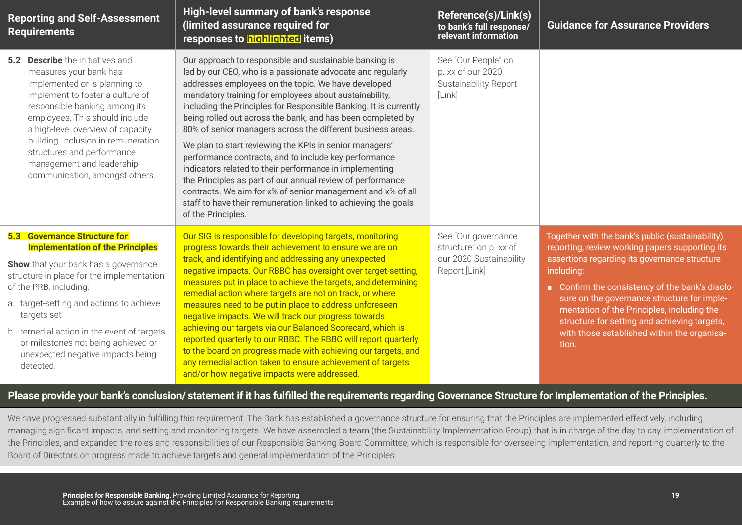| <b>Reporting and Self-Assessment</b><br><b>Requirements</b>                                                                                                                                                                                                                                                                                                                                            | High-level summary of bank's response<br>(limited assurance required for<br>responses to highlighted items)                                                                                                                                                                                                                                                                                                                                                                                                                                                                                                                                                                                                                                                                                                                                  | Reference(s)/Link(s)<br>to bank's full response/<br>relevant information                  | <b>Guidance for Assurance Providers</b>                                                                                                                                                                                                                                                                                                                                                                                  |
|--------------------------------------------------------------------------------------------------------------------------------------------------------------------------------------------------------------------------------------------------------------------------------------------------------------------------------------------------------------------------------------------------------|----------------------------------------------------------------------------------------------------------------------------------------------------------------------------------------------------------------------------------------------------------------------------------------------------------------------------------------------------------------------------------------------------------------------------------------------------------------------------------------------------------------------------------------------------------------------------------------------------------------------------------------------------------------------------------------------------------------------------------------------------------------------------------------------------------------------------------------------|-------------------------------------------------------------------------------------------|--------------------------------------------------------------------------------------------------------------------------------------------------------------------------------------------------------------------------------------------------------------------------------------------------------------------------------------------------------------------------------------------------------------------------|
| <b>5.2 Describe</b> the initiatives and<br>measures your bank has<br>implemented or is planning to<br>implement to foster a culture of<br>responsible banking among its<br>employees. This should include<br>a high-level overview of capacity<br>building, inclusion in remuneration<br>structures and performance<br>management and leadership<br>communication, amongst others.                     | Our approach to responsible and sustainable banking is<br>led by our CEO, who is a passionate advocate and regularly<br>addresses employees on the topic. We have developed<br>mandatory training for employees about sustainability,<br>including the Principles for Responsible Banking. It is currently<br>being rolled out across the bank, and has been completed by<br>80% of senior managers across the different business areas.<br>We plan to start reviewing the KPIs in senior managers'<br>performance contracts, and to include key performance<br>indicators related to their performance in implementing<br>the Principles as part of our annual review of performance<br>contracts. We aim for x% of senior management and x% of all<br>staff to have their remuneration linked to achieving the goals<br>of the Principles. | See "Our People" on<br>p. xx of our 2020<br>Sustainability Report<br>[Link]               |                                                                                                                                                                                                                                                                                                                                                                                                                          |
| <b>5.3 Governance Structure for</b><br><b>Implementation of the Principles</b><br><b>Show</b> that your bank has a governance<br>structure in place for the implementation<br>of the PRB, including:<br>a. target-setting and actions to achieve<br>targets set<br>b. remedial action in the event of targets<br>or milestones not being achieved or<br>unexpected negative impacts being<br>detected. | Our SIG is responsible for developing targets, monitoring<br>progress towards their achievement to ensure we are on<br>track, and identifying and addressing any unexpected<br>negative impacts. Our RBBC has oversight over target-setting,<br>measures put in place to achieve the targets, and determining<br>remedial action where targets are not on track, or where<br>measures need to be put in place to address unforeseen<br>negative impacts. We will track our progress towards<br>achieving our targets via our Balanced Scorecard, which is<br>reported quarterly to our RBBC. The RBBC will report quarterly<br>to the board on progress made with achieving our targets, and<br>any remedial action taken to ensure achievement of targets<br>and/or how negative impacts were addressed.                                    | See "Our governance<br>structure" on p. xx of<br>our 2020 Sustainability<br>Report [Link] | Together with the bank's public (sustainability)<br>reporting, review working papers supporting its<br>assertions regarding its governance structure<br>including:<br>Confirm the consistency of the bank's disclo-<br>sure on the governance structure for imple-<br>mentation of the Principles, including the<br>structure for setting and achieving targets,<br>with those established within the organisa-<br>tion. |

#### **Please provide your bank's conclusion/ statement if it has fulfilled the requirements regarding Governance Structure for Implementation of the Principles.**

We have progressed substantially in fulfilling this requirement. The Bank has established a governance structure for ensuring that the Principles are implemented effectively, including managing significant impacts, and setting and monitoring targets. We have assembled a team (the Sustainability Implementation Group) that is in charge of the day to day implementation of the Principles, and expanded the roles and responsibilities of our Responsible Banking Board Committee, which is responsible for overseeing implementation, and reporting quarterly to the Board of Directors on progress made to achieve targets and general implementation of the Principles.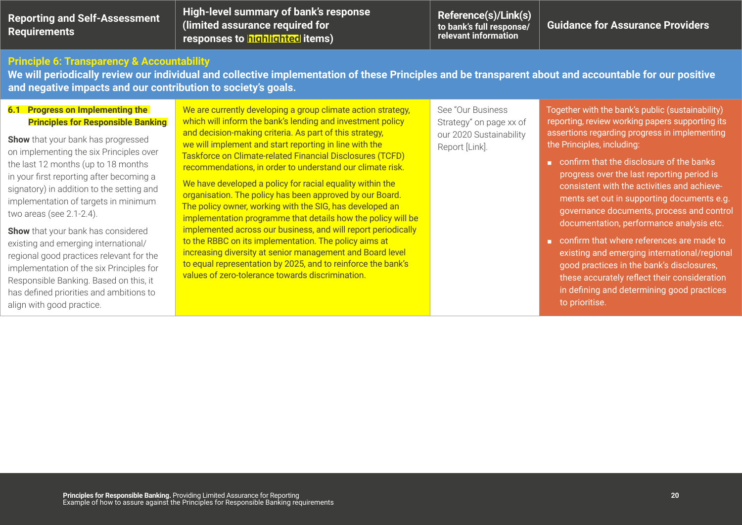| <b>Reporting and Self-Assessment</b><br>Requirements  | High-level summary of bank's response<br>(limited assurance required for<br>responses to highlighted items)                                            | Reference(s)/Link(s)<br>to bank's full response/<br>relevant information | <b>Guidance for Assurance Providers</b> |
|-------------------------------------------------------|--------------------------------------------------------------------------------------------------------------------------------------------------------|--------------------------------------------------------------------------|-----------------------------------------|
| <b>Principle 6: Transparency &amp; Accountability</b> | We will periodically review our individual and collective implementation of these Principles and be transparent about and accountable for our positive |                                                                          |                                         |

**6.1 Progress on Implementing the Principles for Responsible Banking** 

**and negative impacts and our contribution to society's goals.**

**Show** that your bank has progressed on implementing the six Principles over the last 12 months (up to 18 months in your first reporting after becoming a signatory) in addition to the setting and implementation of targets in minimum two areas (see 2.1-2.4).

**Show** that your bank has considered existing and emerging international/ regional good practices relevant for the implementation of the six Principles for Responsible Banking. Based on this, it has defined priorities and ambitions to align with good practice.

We are currently developing a group climate action strategy, which will inform the bank's lending and investment policy and decision-making criteria. As part of this strategy, we will implement and start reporting in line with the Taskforce on Climate-related Financial Disclosures (TCFD) recommendations, in order to understand our climate risk.

We have developed a policy for racial equality within the organisation. The policy has been approved by our Board. The policy owner, working with the SIG, has developed an implementation programme that details how the policy will be implemented across our business, and will report periodically to the RBBC on its implementation. The policy aims at increasing diversity at senior management and Board level to equal representation by 2025, and to reinforce the bank's values of zero-tolerance towards discrimination.

See "Our Business Strategy" on page xx of our 2020 Sustainability Report [Link].

Together with the bank's public (sustainability) reporting, review working papers supporting its assertions regarding progress in implementing the Principles, including:

- confirm that the disclosure of the banks progress over the last reporting period is consistent with the activities and achievements set out in supporting documents e.g. governance documents, process and control documentation, performance analysis etc.
- confirm that where references are made to existing and emerging international/regional good practices in the bank's disclosures, these accurately reflect their consideration in defining and determining good practices to prioritise.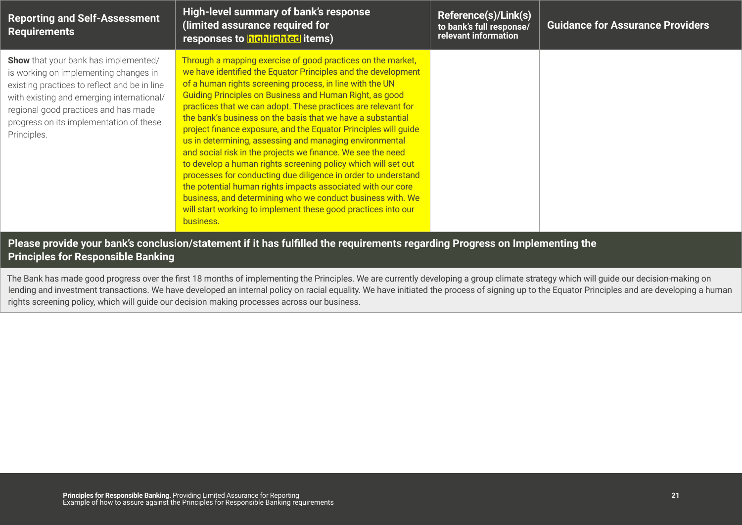| <b>Reporting and Self-Assessment</b><br><b>Requirements</b>                                                                                                                                                                                                                  | High-level summary of bank's response<br>(limited assurance required for<br>responses to highlighted items)                                                                                                                                                                                                                                                                                                                                                                                                                                                                                                                                                                                                                                                                                                                                                                                                                   | Reference(s)/Link(s)<br>to bank's full response/<br>relevant information | <b>Guidance for Assurance Providers</b> |
|------------------------------------------------------------------------------------------------------------------------------------------------------------------------------------------------------------------------------------------------------------------------------|-------------------------------------------------------------------------------------------------------------------------------------------------------------------------------------------------------------------------------------------------------------------------------------------------------------------------------------------------------------------------------------------------------------------------------------------------------------------------------------------------------------------------------------------------------------------------------------------------------------------------------------------------------------------------------------------------------------------------------------------------------------------------------------------------------------------------------------------------------------------------------------------------------------------------------|--------------------------------------------------------------------------|-----------------------------------------|
| Show that your bank has implemented/<br>is working on implementing changes in<br>existing practices to reflect and be in line<br>with existing and emerging international/<br>regional good practices and has made<br>progress on its implementation of these<br>Principles. | Through a mapping exercise of good practices on the market,<br>we have identified the Equator Principles and the development<br>of a human rights screening process, in line with the UN<br>Guiding Principles on Business and Human Right, as good<br>practices that we can adopt. These practices are relevant for<br>the bank's business on the basis that we have a substantial<br>project finance exposure, and the Equator Principles will guide<br>us in determining, assessing and managing environmental<br>and social risk in the projects we finance. We see the need<br>to develop a human rights screening policy which will set out<br>processes for conducting due diligence in order to understand<br>the potential human rights impacts associated with our core<br>business, and determining who we conduct business with. We<br>will start working to implement these good practices into our<br>business. |                                                                          |                                         |

#### **Please provide your bank's conclusion/statement if it has fulfilled the requirements regarding Progress on Implementing the Principles for Responsible Banking**

The Bank has made good progress over the first 18 months of implementing the Principles. We are currently developing a group climate strategy which will guide our decision-making on lending and investment transactions. We have developed an internal policy on racial equality. We have initiated the process of signing up to the Equator Principles and are developing a human rights screening policy, which will guide our decision making processes across our business.